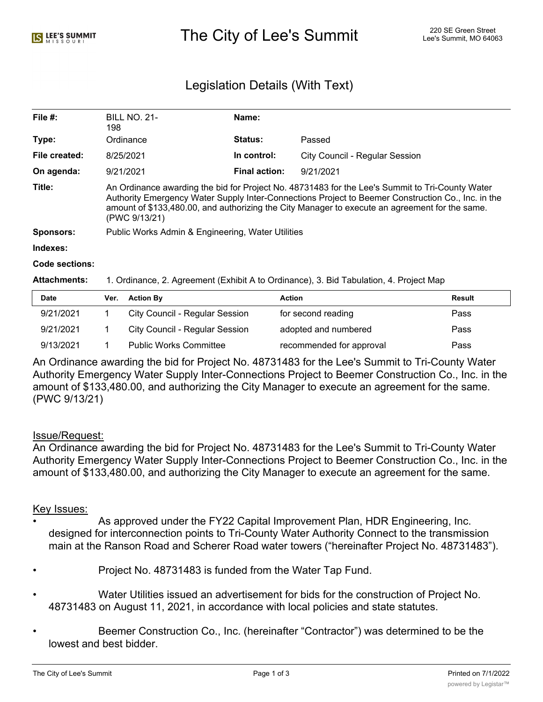# Legislation Details (With Text)

| File $#$ :     | <b>BILL NO. 21-</b><br>198                                                                                                                                                                                                                                                                                               | Name:                |                                |  |  |  |
|----------------|--------------------------------------------------------------------------------------------------------------------------------------------------------------------------------------------------------------------------------------------------------------------------------------------------------------------------|----------------------|--------------------------------|--|--|--|
| Type:          | Ordinance                                                                                                                                                                                                                                                                                                                | <b>Status:</b>       | Passed                         |  |  |  |
| File created:  | 8/25/2021                                                                                                                                                                                                                                                                                                                | In control:          | City Council - Regular Session |  |  |  |
| On agenda:     | 9/21/2021                                                                                                                                                                                                                                                                                                                | <b>Final action:</b> | 9/21/2021                      |  |  |  |
| Title:         | An Ordinance awarding the bid for Project No. 48731483 for the Lee's Summit to Tri-County Water<br>Authority Emergency Water Supply Inter-Connections Project to Beemer Construction Co., Inc. in the<br>amount of \$133,480.00, and authorizing the City Manager to execute an agreement for the same.<br>(PWC 9/13/21) |                      |                                |  |  |  |
| Sponsors:      | Public Works Admin & Engineering, Water Utilities                                                                                                                                                                                                                                                                        |                      |                                |  |  |  |
| Indexes:       |                                                                                                                                                                                                                                                                                                                          |                      |                                |  |  |  |
| Code sections: |                                                                                                                                                                                                                                                                                                                          |                      |                                |  |  |  |

#### **Attachments:** 1. Ordinance, 2. Agreement (Exhibit A to Ordinance), 3. Bid Tabulation, 4. Project Map

| <b>Date</b> | Ver. | <b>Action By</b>               | <b>Action</b>            | Result |
|-------------|------|--------------------------------|--------------------------|--------|
| 9/21/2021   |      | City Council - Regular Session | for second reading       | Pass   |
| 9/21/2021   |      | City Council - Regular Session | adopted and numbered     | Pass   |
| 9/13/2021   |      | <b>Public Works Committee</b>  | recommended for approval | Pass   |

An Ordinance awarding the bid for Project No. 48731483 for the Lee's Summit to Tri-County Water Authority Emergency Water Supply Inter-Connections Project to Beemer Construction Co., Inc. in the amount of \$133,480.00, and authorizing the City Manager to execute an agreement for the same. (PWC 9/13/21)

## Issue/Request:

An Ordinance awarding the bid for Project No. 48731483 for the Lee's Summit to Tri-County Water Authority Emergency Water Supply Inter-Connections Project to Beemer Construction Co., Inc. in the amount of \$133,480.00, and authorizing the City Manager to execute an agreement for the same.

## Key Issues:

- As approved under the FY22 Capital Improvement Plan, HDR Engineering, Inc. designed for interconnection points to Tri-County Water Authority Connect to the transmission main at the Ranson Road and Scherer Road water towers ("hereinafter Project No. 48731483").
- Project No. 48731483 is funded from the Water Tap Fund.
- Water Utilities issued an advertisement for bids for the construction of Project No. 48731483 on August 11, 2021, in accordance with local policies and state statutes.
- Beemer Construction Co., Inc. (hereinafter "Contractor") was determined to be the lowest and best bidder.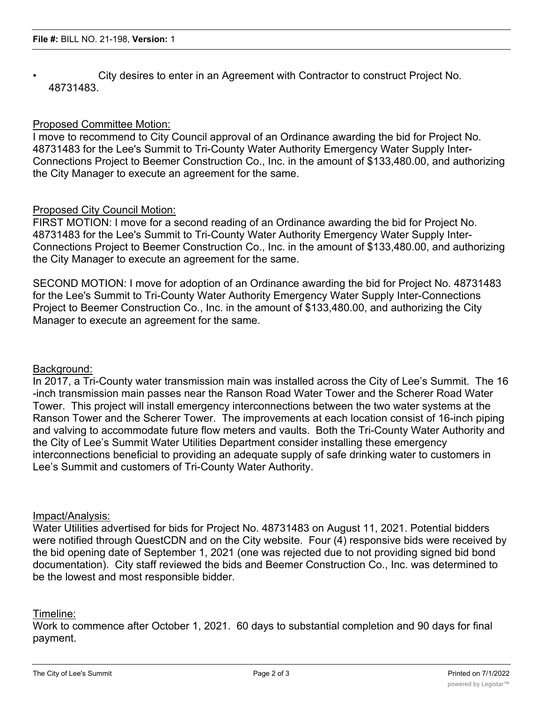• City desires to enter in an Agreement with Contractor to construct Project No. 48731483.

## Proposed Committee Motion:

I move to recommend to City Council approval of an Ordinance awarding the bid for Project No. 48731483 for the Lee's Summit to Tri-County Water Authority Emergency Water Supply Inter-Connections Project to Beemer Construction Co., Inc. in the amount of \$133,480.00, and authorizing the City Manager to execute an agreement for the same.

## Proposed City Council Motion:

FIRST MOTION: I move for a second reading of an Ordinance awarding the bid for Project No. 48731483 for the Lee's Summit to Tri-County Water Authority Emergency Water Supply Inter-Connections Project to Beemer Construction Co., Inc. in the amount of \$133,480.00, and authorizing the City Manager to execute an agreement for the same.

SECOND MOTION: I move for adoption of an Ordinance awarding the bid for Project No. 48731483 for the Lee's Summit to Tri-County Water Authority Emergency Water Supply Inter-Connections Project to Beemer Construction Co., Inc. in the amount of \$133,480.00, and authorizing the City Manager to execute an agreement for the same.

## Background:

In 2017, a Tri-County water transmission main was installed across the City of Lee's Summit. The 16 -inch transmission main passes near the Ranson Road Water Tower and the Scherer Road Water Tower. This project will install emergency interconnections between the two water systems at the Ranson Tower and the Scherer Tower. The improvements at each location consist of 16-inch piping and valving to accommodate future flow meters and vaults. Both the Tri-County Water Authority and the City of Lee's Summit Water Utilities Department consider installing these emergency interconnections beneficial to providing an adequate supply of safe drinking water to customers in Lee's Summit and customers of Tri-County Water Authority.

## Impact/Analysis:

Water Utilities advertised for bids for Project No. 48731483 on August 11, 2021. Potential bidders were notified through QuestCDN and on the City website. Four (4) responsive bids were received by the bid opening date of September 1, 2021 (one was rejected due to not providing signed bid bond documentation). City staff reviewed the bids and Beemer Construction Co., Inc. was determined to be the lowest and most responsible bidder.

## Timeline:

Work to commence after October 1, 2021. 60 days to substantial completion and 90 days for final payment.